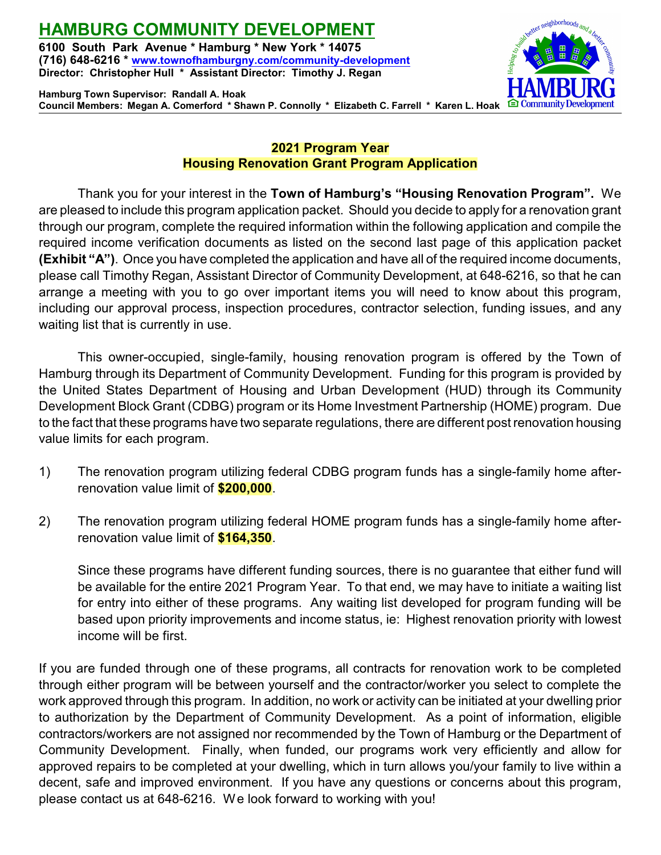

**Hamburg Town Supervisor: Randall A. Hoak Council Members: Megan A. Comerford \* Shawn P. Connolly \* Elizabeth C. Farrell \* Karen L. Hoak**

## **2021 Program Year Housing Renovation Grant Program Application**

Thank you for your interest in the **Town of Hamburg's "Housing Renovation Program".** We are pleased to include this program application packet. Should you decide to apply for a renovation grant through our program, complete the required information within the following application and compile the required income verification documents as listed on the second last page of this application packet **(Exhibit "A")**. Once you have completed the application and have all of the required income documents, please call Timothy Regan, Assistant Director of Community Development, at 648-6216, so that he can arrange a meeting with you to go over important items you will need to know about this program, including our approval process, inspection procedures, contractor selection, funding issues, and any waiting list that is currently in use.

This owner-occupied, single-family, housing renovation program is offered by the Town of Hamburg through its Department of Community Development. Funding for this program is provided by the United States Department of Housing and Urban Development (HUD) through its Community Development Block Grant (CDBG) program or its Home Investment Partnership (HOME) program. Due to the fact that these programs have two separate regulations, there are different post renovation housing value limits for each program.

- 1) The renovation program utilizing federal CDBG program funds has a single-family home afterrenovation value limit of **\$200,000**.
- 2) The renovation program utilizing federal HOME program funds has a single-family home afterrenovation value limit of **\$164,350**.

Since these programs have different funding sources, there is no guarantee that either fund will be available for the entire 2021 Program Year. To that end, we may have to initiate a waiting list for entry into either of these programs. Any waiting list developed for program funding will be based upon priority improvements and income status, ie: Highest renovation priority with lowest income will be first.

If you are funded through one of these programs, all contracts for renovation work to be completed through either program will be between yourself and the contractor/worker you select to complete the work approved through this program. In addition, no work or activity can be initiated at your dwelling prior to authorization by the Department of Community Development. As a point of information, eligible contractors/workers are not assigned nor recommended by the Town of Hamburg or the Department of Community Development. Finally, when funded, our programs work very efficiently and allow for approved repairs to be completed at your dwelling, which in turn allows you/your family to live within a decent, safe and improved environment. If you have any questions or concerns about this program, please contact us at 648-6216. We look forward to working with you!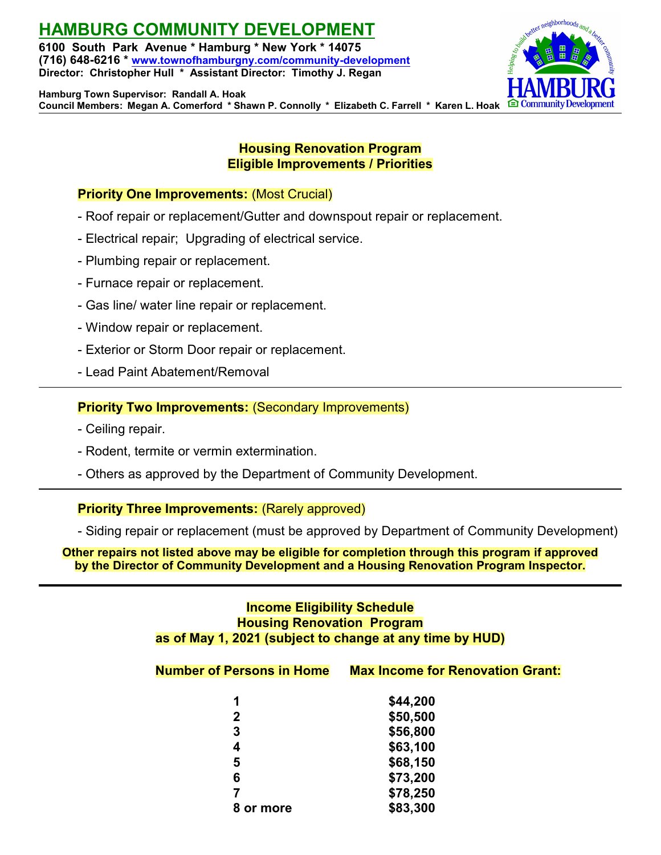# **HAMBURG COMMUNITY DEVELOPMENT**

**6100 South Park Avenue \* Hamburg \* New York \* 14075 (716) 648-6216 \* [www.townofhamburgny.com/community-development](http://www.townofhamburgny.com/cdbg) Director: Christopher Hull \* Assistant Director: Timothy J. Regan**



**Hamburg Town Supervisor: Randall A. Hoak Council Members: Megan A. Comerford \* Shawn P. Connolly \* Elizabeth C. Farrell \* Karen L. Hoak**

#### **Housing Renovation Program Eligible Improvements / Priorities**

#### **Priority One Improvements:** (Most Crucial)

- Roof repair or replacement/Gutter and downspout repair or replacement.
- Electrical repair; Upgrading of electrical service.
- Plumbing repair or replacement.
- Furnace repair or replacement.
- Gas line/ water line repair or replacement.
- Window repair or replacement.
- Exterior or Storm Door repair or replacement.
- Lead Paint Abatement/Removal

### **Priority Two Improvements:** (Secondary Improvements)

- Ceiling repair.
- Rodent, termite or vermin extermination.
- Others as approved by the Department of Community Development.

## **Priority Three Improvements:** (Rarely approved)

- Siding repair or replacement (must be approved by Department of Community Development)

**Other repairs not listed above may be eligible for completion through this program if approved by the Director of Community Development and a Housing Renovation Program Inspector.**

> **Income Eligibility Schedule Housing Renovation Program as of May 1, 2021 (subject to change at any time by HUD)**

| <b>Number of Persons in Home</b> | <b>Max Income for Renovation Grant:</b> |
|----------------------------------|-----------------------------------------|
| 1                                | \$44,200                                |
| 2                                | \$50,500                                |
| 3                                | \$56,800                                |
| 4                                | \$63,100                                |
| 5                                | \$68,150                                |
| 6                                | \$73,200                                |
|                                  | \$78,250                                |
| 8 or more                        | \$83,300                                |
|                                  |                                         |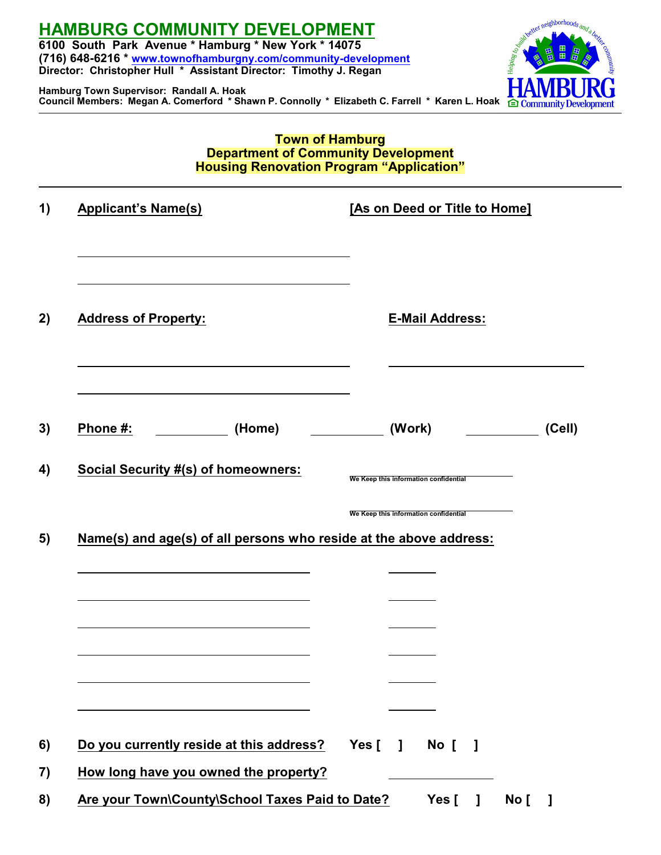



#### **Town of Hamburg Department of Community Development Housing Renovation Program "Application"**

| 1) | <b>Applicant's Name(s)</b>                                         |       |        | [As on Deed or Title to Home]         |              |      |        |
|----|--------------------------------------------------------------------|-------|--------|---------------------------------------|--------------|------|--------|
| 2) | <b>Address of Property:</b>                                        |       |        | <b>E-Mail Address:</b>                |              |      |        |
| 3) | Phone #:<br>————————(Home)                                         |       | (Work) |                                       |              |      | (Cell) |
| 4) | <b>Social Security #(s) of homeowners:</b>                         |       |        | We Keep this information confidential |              |      |        |
|    |                                                                    |       |        | We Keep this information confidential |              |      |        |
| 5) | Name(s) and age(s) of all persons who reside at the above address: |       |        |                                       |              |      |        |
|    |                                                                    |       |        |                                       |              |      |        |
|    |                                                                    |       |        |                                       |              |      |        |
|    |                                                                    |       |        |                                       |              |      |        |
|    |                                                                    |       |        |                                       |              |      |        |
|    |                                                                    |       |        |                                       |              |      |        |
| 6) | Do you currently reside at this address?                           | Yes [ | - 1    | No [                                  | -1           |      |        |
| 7) | How long have you owned the property?                              |       |        |                                       |              |      |        |
| 8) | Are your Town\County\School Taxes Paid to Date?                    |       |        | Yes [                                 | $\mathbf{1}$ | No [ | 1      |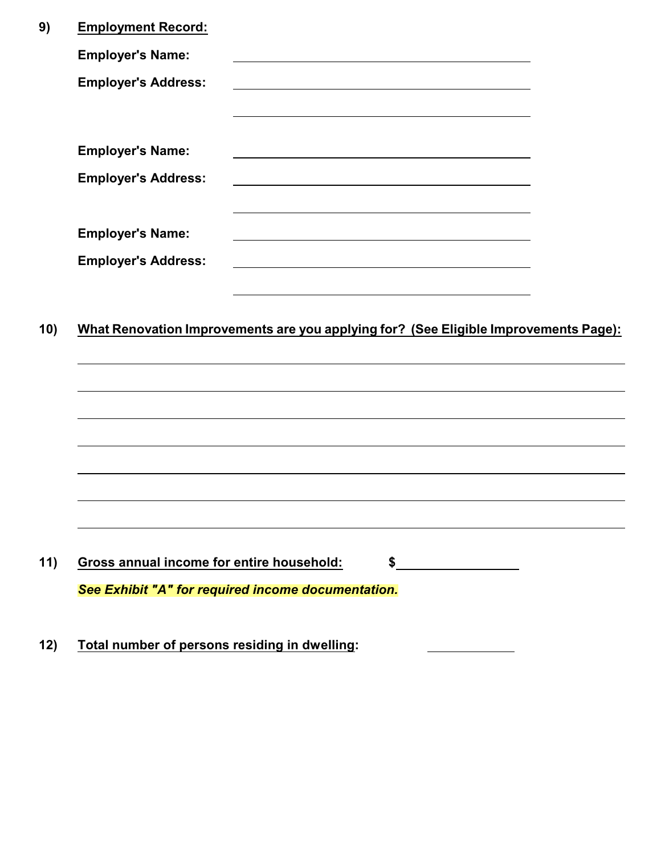| <b>Employer's Name:</b><br><u> 1989 - Johann Stoff, amerikansk politiker (d. 1989)</u><br><b>Employer's Address:</b><br><b>Employer's Name:</b><br><b>Employer's Address:</b><br><u> 1989 - Johann Barbara, martxa alemaniar amerikan basar da da a shekara 1980 - Andrew Santa Barbara, a shekar</u><br><b>Employer's Name:</b><br><b>Employer's Address:</b><br>What Renovation Improvements are you applying for? (See Eligible Improvements Page):<br>10)<br>11) | <b>Employment Record:</b> |               |  |
|----------------------------------------------------------------------------------------------------------------------------------------------------------------------------------------------------------------------------------------------------------------------------------------------------------------------------------------------------------------------------------------------------------------------------------------------------------------------|---------------------------|---------------|--|
|                                                                                                                                                                                                                                                                                                                                                                                                                                                                      |                           |               |  |
|                                                                                                                                                                                                                                                                                                                                                                                                                                                                      |                           |               |  |
|                                                                                                                                                                                                                                                                                                                                                                                                                                                                      |                           |               |  |
|                                                                                                                                                                                                                                                                                                                                                                                                                                                                      |                           |               |  |
|                                                                                                                                                                                                                                                                                                                                                                                                                                                                      |                           |               |  |
|                                                                                                                                                                                                                                                                                                                                                                                                                                                                      |                           |               |  |
|                                                                                                                                                                                                                                                                                                                                                                                                                                                                      |                           |               |  |
|                                                                                                                                                                                                                                                                                                                                                                                                                                                                      |                           |               |  |
|                                                                                                                                                                                                                                                                                                                                                                                                                                                                      |                           |               |  |
| Gross annual income for entire household:                                                                                                                                                                                                                                                                                                                                                                                                                            |                           |               |  |
| See Exhibit "A" for required income documentation.<br>Total number of persons residing in dwelling:                                                                                                                                                                                                                                                                                                                                                                  |                           | $\frac{1}{2}$ |  |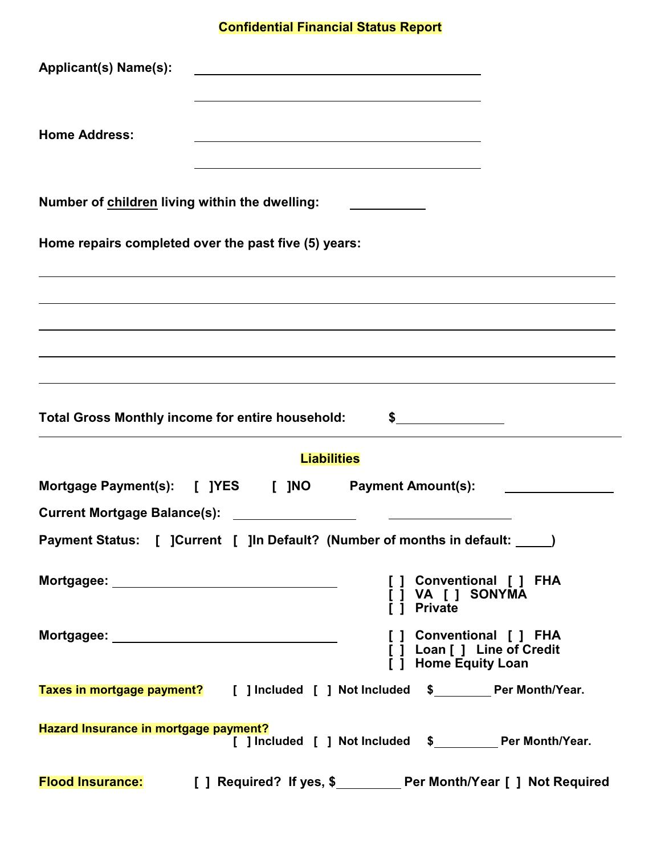## **Confidential Financial Status Report**

| <b>Applicant(s) Name(s):</b><br><u> 1989 - Johann Barn, mars ann an t-Amhain an t-Amhain an t-Amhain an t-Amhain an t-Amhain an t-Amhain an t-Amh</u> |
|-------------------------------------------------------------------------------------------------------------------------------------------------------|
| <b>Home Address:</b><br><u> 1989 - Johann Barbara, marka a shekara tsa 1989 - An tsa 1989 - An tsa 1989 - An tsa 1989 - An tsa 1989 - An</u>          |
| Number of children living within the dwelling:                                                                                                        |
| Home repairs completed over the past five (5) years:<br><u> 1989 - Jan Salaman Salaman (j. 1989)</u>                                                  |
|                                                                                                                                                       |
| ,我们也不会有什么。""我们的人,我们也不会有什么?""我们的人,我们也不会有什么?""我们的人,我们也不会有什么?""我们的人,我们也不会有什么?""我们的人                                                                      |
| <b>Total Gross Monthly income for entire household:</b><br>$\frac{1}{2}$                                                                              |
| <b>Liabilities</b>                                                                                                                                    |
|                                                                                                                                                       |
|                                                                                                                                                       |
| Payment Status: [ ]Current [ ]In Default? (Number of months in default: _____)                                                                        |
| [ ] Conventional [ ] FHA<br>[ ] VA [ ] SONYMA<br>Mortgagee: __________________________________<br>[ ] Private                                         |
| Mortgagee: __________________________________<br>[ ] Conventional [ ] FHA<br>[ ] Loan [ ] Line of Credit<br>i j Home Equity Loan                      |
| Taxes in mortgage payment? [ ] Included [ ] Not Included \$_______ Per Month/Year.                                                                    |
| Hazard Insurance in mortgage payment?<br>[ ] Included [ ] Not Included \$__________ Per Month/Year.                                                   |
| Flood Insurance: [ ] Required? If yes, \$_________ Per Month/Year [ ] Not Required                                                                    |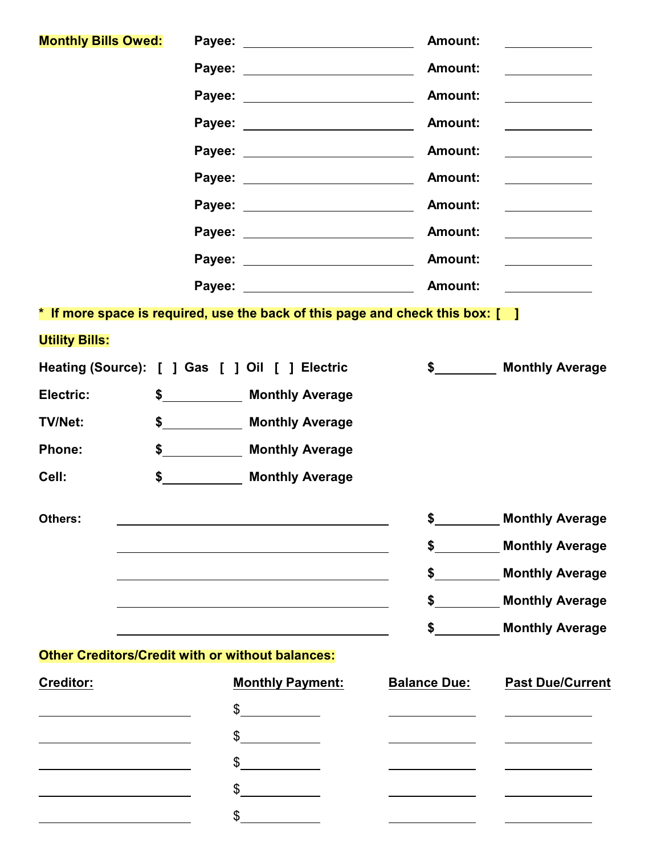| <b>Monthly Bills Owed:</b>                              |                |                                                                                | <b>Amount:</b>      |                                                                                                                       |
|---------------------------------------------------------|----------------|--------------------------------------------------------------------------------|---------------------|-----------------------------------------------------------------------------------------------------------------------|
|                                                         |                |                                                                                | <b>Amount:</b>      |                                                                                                                       |
|                                                         |                | Payee: __________________________                                              | <b>Amount:</b>      | <u> 1990 - Johann Barbara, martin e</u>                                                                               |
|                                                         |                |                                                                                | <b>Amount:</b>      |                                                                                                                       |
|                                                         |                |                                                                                |                     | <u> 1989 - Johann Barbara, martin a</u>                                                                               |
|                                                         |                |                                                                                |                     | <u> 1990 - Johann Barbara, martin a</u>                                                                               |
|                                                         |                |                                                                                |                     |                                                                                                                       |
|                                                         |                |                                                                                |                     |                                                                                                                       |
|                                                         |                |                                                                                |                     |                                                                                                                       |
|                                                         |                | Payee: <u>New York and Amount:</u>                                             |                     | <u> 1989 - Jan Barbara Barat III, marka Barbara Barbara Barbara Barbara Barbara Barbara Barbara Barbara Barbara B</u> |
|                                                         |                | * If more space is required, use the back of this page and check this box: [ ] |                     |                                                                                                                       |
| <b>Utility Bills:</b>                                   |                |                                                                                |                     |                                                                                                                       |
| Heating (Source): [ ] Gas [ ] Oil [ ] Electric          |                |                                                                                |                     | \$ Monthly Average                                                                                                    |
| Electric:                                               | $\frac{1}{2}$  | <b>Monthly Average</b>                                                         |                     |                                                                                                                       |
| <b>TV/Net:</b>                                          |                | \$______________ Monthly Average                                               |                     |                                                                                                                       |
| <b>Phone:</b>                                           |                |                                                                                |                     |                                                                                                                       |
| Cell:                                                   |                | \$ Monthly Average                                                             |                     |                                                                                                                       |
| Others:                                                 |                |                                                                                | \$                  | Monthly Average                                                                                                       |
|                                                         |                |                                                                                |                     | \$___________ Monthly Average                                                                                         |
|                                                         |                |                                                                                |                     | \$ Monthly Average                                                                                                    |
|                                                         |                |                                                                                |                     | \$___________ Monthly Average                                                                                         |
|                                                         |                |                                                                                |                     | \$___________ Monthly Average                                                                                         |
| <b>Other Creditors/Credit with or without balances:</b> |                |                                                                                |                     |                                                                                                                       |
| <b>Creditor:</b>                                        |                | <b>Monthly Payment:</b>                                                        | <b>Balance Due:</b> | <b>Past Due/Current</b>                                                                                               |
|                                                         | \$             |                                                                                |                     |                                                                                                                       |
|                                                         |                | $\frac{1}{2}$                                                                  |                     |                                                                                                                       |
|                                                         | \$             |                                                                                |                     |                                                                                                                       |
|                                                         | $\mathfrak{S}$ |                                                                                |                     |                                                                                                                       |

 $\overline{\phantom{a}}$ 

\$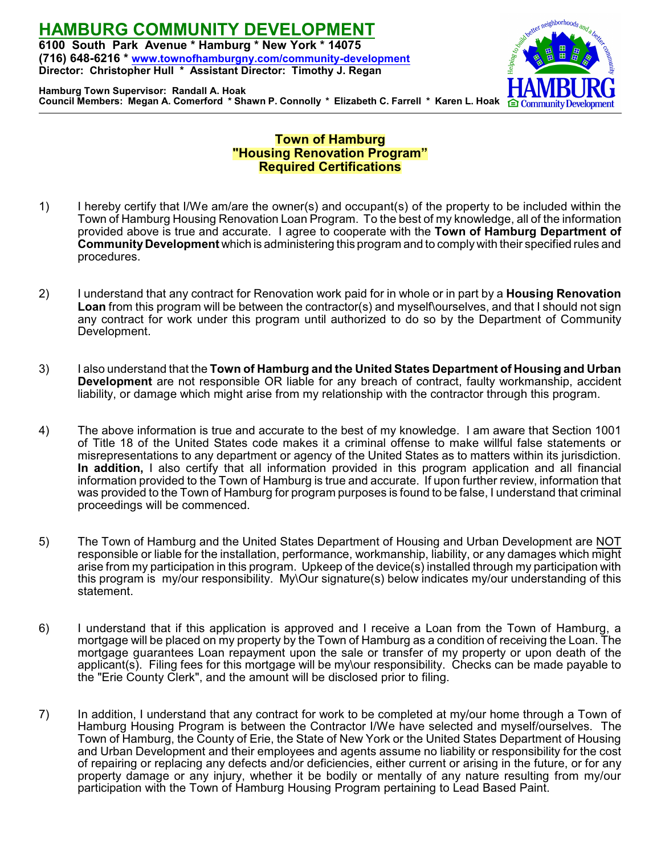

**Hamburg Town Supervisor: Randall A. Hoak Council Members: Megan A. Comerford \* Shawn P. Connolly \* Elizabeth C. Farrell \* Karen L. Hoak**

#### **Town of Hamburg "Housing Renovation Program" Required Certifications**

- 1) I hereby certify that I/We am/are the owner(s) and occupant(s) of the property to be included within the Town of Hamburg Housing Renovation Loan Program. To the best of my knowledge, all of the information provided above is true and accurate. I agree to cooperate with the **Town of Hamburg Department of CommunityDevelopment** which is administering this program and to comply with their specified rules and procedures.
- 2) I understand that any contract for Renovation work paid for in whole or in part by a **Housing Renovation Loan** from this program will be between the contractor(s) and myself\ourselves, and that I should not sign any contract for work under this program until authorized to do so by the Department of Community Development.
- 3) I also understand that the **Town of Hamburg and the United States Department of Housing and Urban Development** are not responsible OR liable for any breach of contract, faulty workmanship, accident liability, or damage which might arise from my relationship with the contractor through this program.
- 4) The above information is true and accurate to the best of my knowledge. I am aware that Section 1001 of Title 18 of the United States code makes it a criminal offense to make willful false statements or misrepresentations to any department or agency of the United States as to matters within its jurisdiction. **In addition,** I also certify that all information provided in this program application and all financial information provided to the Town of Hamburg is true and accurate. If upon further review, information that was provided to the Town of Hamburg for program purposes is found to be false, I understand that criminal proceedings will be commenced.
- 5) The Town of Hamburg and the United States Department of Housing and Urban Development are NOT responsible or liable for the installation, performance, workmanship, liability, or any damages which might arise from my participation in this program. Upkeep of the device(s) installed through my participation with this program is my/our responsibility. My\Our signature(s) below indicates my/our understanding of this statement.
- 6) I understand that if this application is approved and I receive a Loan from the Town of Hamburg, a mortgage will be placed on my property by the Town of Hamburg as a condition of receiving the Loan. The mortgage guarantees Loan repayment upon the sale or transfer of my property or upon death of the applicant(s). Filing fees for this mortgage will be my\our responsibility. Checks can be made payable to the "Erie County Clerk", and the amount will be disclosed prior to filing.
- 7) In addition, I understand that any contract for work to be completed at my/our home through a Town of Hamburg Housing Program is between the Contractor I/We have selected and myself/ourselves. The Town of Hamburg, the County of Erie, the State of New York or the United States Department of Housing and Urban Development and their employees and agents assume no liability or responsibility for the cost of repairing or replacing any defects and/or deficiencies, either current or arising in the future, or for any property damage or any injury, whether it be bodily or mentally of any nature resulting from my/our participation with the Town of Hamburg Housing Program pertaining to Lead Based Paint.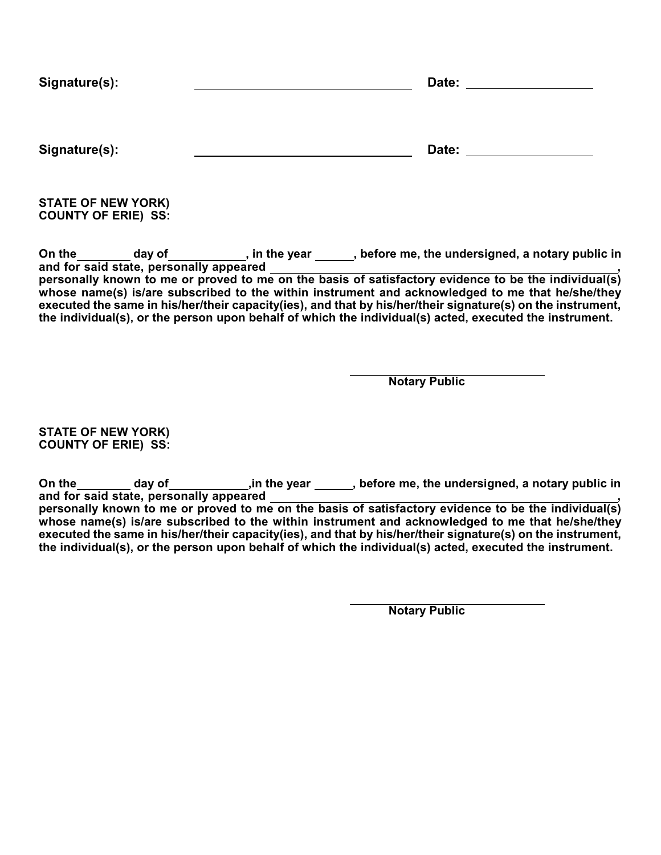| Signature(s): | Date: |
|---------------|-------|
|               |       |

**STATE OF NEW YORK) COUNTY OF ERIE) SS:**

**On the day of , in the year , before me, the undersigned, a notary public in and for said state, personally appeared , personally known to me or proved to me on the basis of satisfactory evidence to be the individual(s) whose name(s) is/are subscribed to the within instrument and acknowledged to me that he/she/they executed the same in his/her/their capacity(ies), and that by his/her/their signature(s) on the instrument, the individual(s), or the person upon behalf of which the individual(s) acted, executed the instrument.**

**Notary Public**

**STATE OF NEW YORK) COUNTY OF ERIE) SS:**

**On the day of ,in the year , before me, the undersigned, a notary public in and for said state, personally appeared , personally known to me or proved to me on the basis of satisfactory evidence to be the individual(s) whose name(s) is/are subscribed to the within instrument and acknowledged to me that he/she/they executed the same in his/her/their capacity(ies), and that by his/her/their signature(s) on the instrument, the individual(s), or the person upon behalf of which the individual(s) acted, executed the instrument.**

**Notary Public**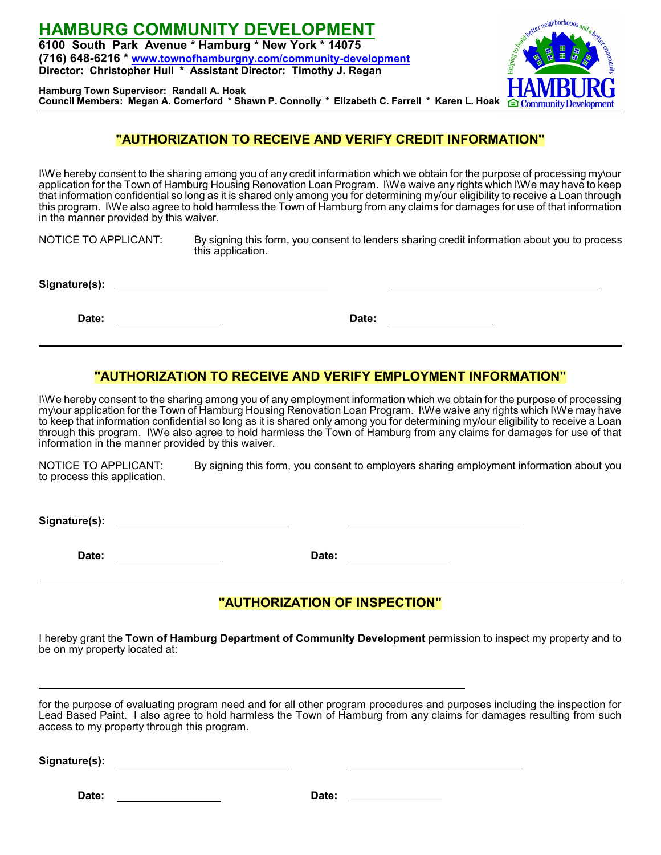

**Hamburg Town Supervisor: Randall A. Hoak Council Members: Megan A. Comerford \* Shawn P. Connolly \* Elizabeth C. Farrell \* Karen L. Hoak**

### **"AUTHORIZATION TO RECEIVE AND VERIFY CREDIT INFORMATION"**

I\We hereby consent to the sharing among you of any credit information which we obtain for the purpose of processing my\our application for the Town of Hamburg Housing Renovation Loan Program. I\We waive any rights which I\We may have to keep that information confidential so long as it is shared only among you for determining my/our eligibility to receive a Loan through this program. I\We also agree to hold harmless the Town of Hamburg from any claims for damages for use of that information in the manner provided by this waiver.

NOTICE TO APPLICANT: By signing this form, you consent to lenders sharing credit information about you to process this application.

**Signature(s):** 

**Date: Date:** 

#### **"AUTHORIZATION TO RECEIVE AND VERIFY EMPLOYMENT INFORMATION"**

I\We hereby consent to the sharing among you of any employment information which we obtain for the purpose of processing my\our application for the Town of Hamburg Housing Renovation Loan Program. I\We waive any rights which I\We may have to keep that information confidential so long as it is shared only among you for determining my/our eligibility to receive a Loan through this program. I\We also agree to hold harmless the Town of Hamburg from any claims for damages for use of that information in the manner provided by this waiver.

NOTICE TO APPLICANT: By signing this form, you consent to employers sharing employment information about you to process this application.

**Signature(s):** 

Date: 2008. **Date: 2008.** Date: 2008. **Date: 2008.** Date: 2008. 2008. 2009. 2012. 2013. 2014. 2016. 2017. 2018. 2019. 2019. 2019. 2019. 2019. 2019. 2019. 2019. 2019. 2019. 2019. 2019. 2019. 2019. 2019. 2019. 2019. 2019. 20

## **"AUTHORIZATION OF INSPECTION"**

I hereby grant the **Town of Hamburg Department of Community Development** permission to inspect my property and to be on my property located at:

for the purpose of evaluating program need and for all other program procedures and purposes including the inspection for Lead Based Paint. I also agree to hold harmless the Town of Hamburg from any claims for damages resulting from such access to my property through this program.

**Signature(s):** 

**Date: Date:**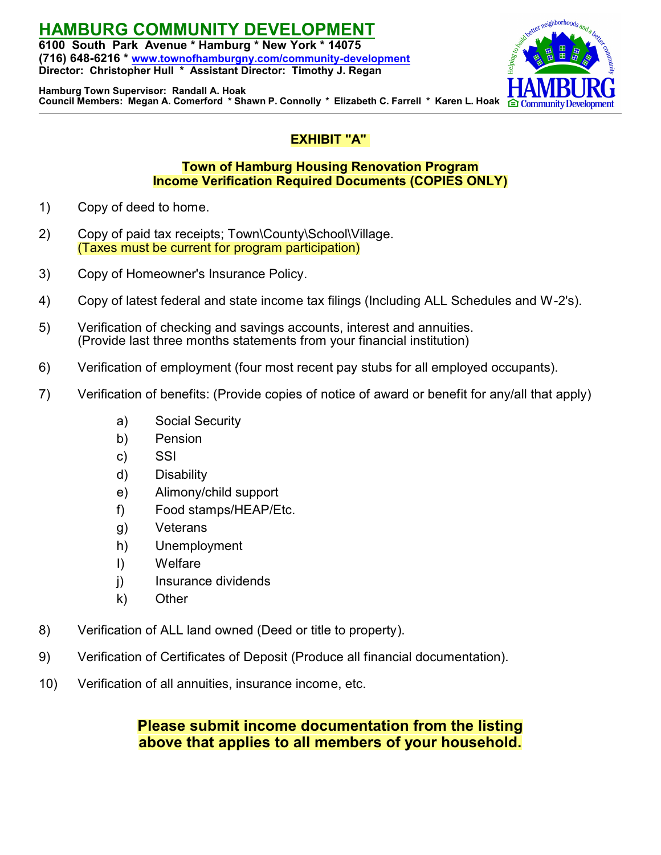

**Hamburg Town Supervisor: Randall A. Hoak Council Members: Megan A. Comerford \* Shawn P. Connolly \* Elizabeth C. Farrell \* Karen L. Hoak**

## **EXHIBIT "A"**

## **Town of Hamburg Housing Renovation Program Income Verification Required Documents (COPIES ONLY)**

- 1) Copy of deed to home.
- 2) Copy of paid tax receipts; Town\County\School\Village. (Taxes must be current for program participation)
- 3) Copy of Homeowner's Insurance Policy.
- 4) Copy of latest federal and state income tax filings (Including ALL Schedules and W-2's).
- 5) Verification of checking and savings accounts, interest and annuities. (Provide last three months statements from your financial institution)
- 6) Verification of employment (four most recent pay stubs for all employed occupants).
- 7) Verification of benefits: (Provide copies of notice of award or benefit for any/all that apply)
	- a) Social Security
	- b) Pension
	- c) SSI
	- d) Disability
	- e) Alimony/child support
	- f) Food stamps/HEAP/Etc.
	- g) Veterans
	- h) Unemployment
	- I) Welfare
	- j) Insurance dividends
	- k) Other
- 8) Verification of ALL land owned (Deed or title to property).
- 9) Verification of Certificates of Deposit (Produce all financial documentation).
- 10) Verification of all annuities, insurance income, etc.

## **Please submit income documentation from the listing above that applies to all members of your household.**